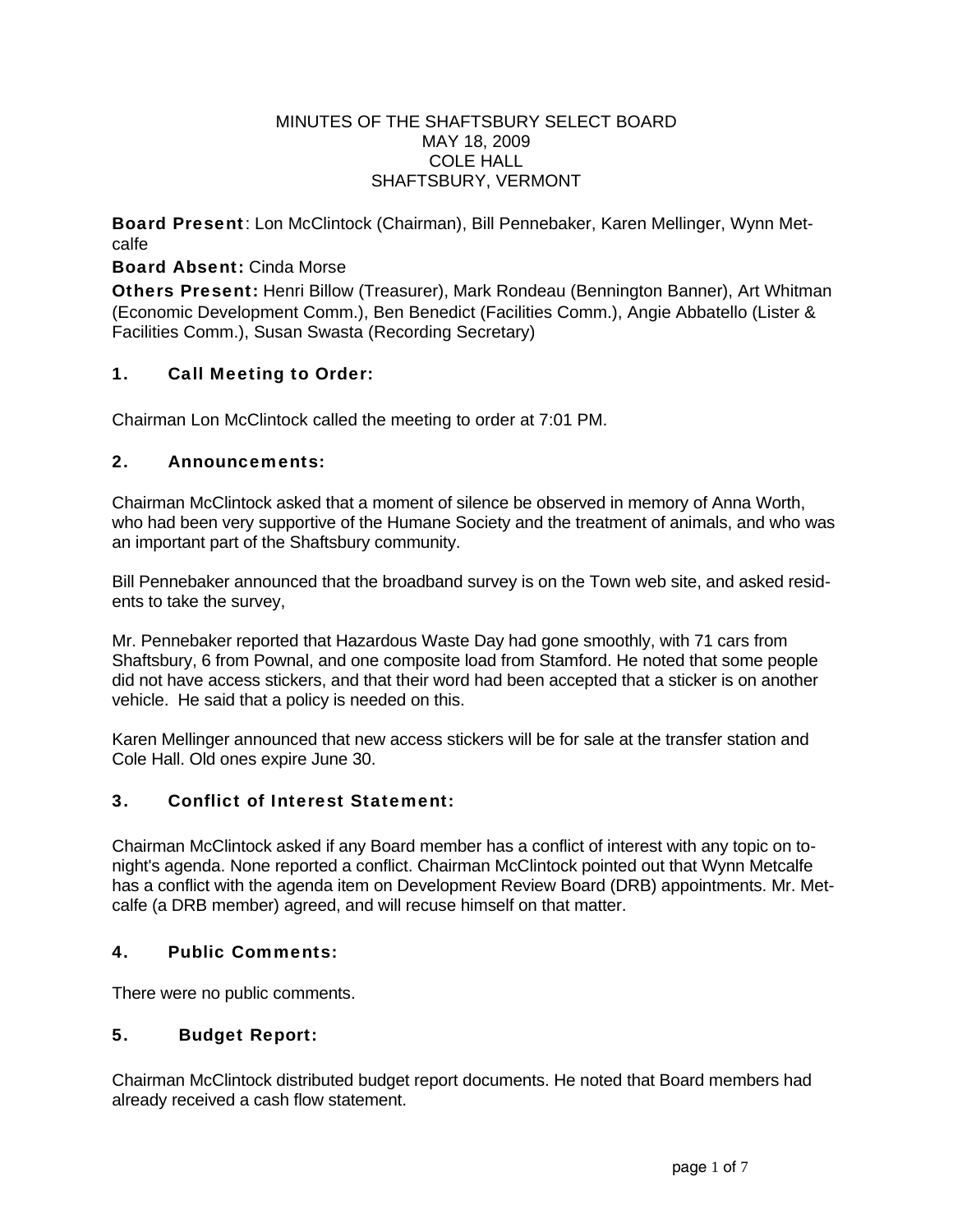#### MINUTES OF THE SHAFTSBURY SELECT BOARD MAY 18, 2009 COLE HALL SHAFTSBURY, VERMONT

Board Present: Lon McClintock (Chairman), Bill Pennebaker, Karen Mellinger, Wynn Metcalfe

### Board Absent: Cinda Morse

Others Present: Henri Billow (Treasurer), Mark Rondeau (Bennington Banner), Art Whitman (Economic Development Comm.), Ben Benedict (Facilities Comm.), Angie Abbatello (Lister & Facilities Comm.), Susan Swasta (Recording Secretary)

### 1. Call Meeting to Order:

Chairman Lon McClintock called the meeting to order at 7:01 PM.

### 2. Announcements:

Chairman McClintock asked that a moment of silence be observed in memory of Anna Worth, who had been very supportive of the Humane Society and the treatment of animals, and who was an important part of the Shaftsbury community.

Bill Pennebaker announced that the broadband survey is on the Town web site, and asked residents to take the survey,

Mr. Pennebaker reported that Hazardous Waste Day had gone smoothly, with 71 cars from Shaftsbury, 6 from Pownal, and one composite load from Stamford. He noted that some people did not have access stickers, and that their word had been accepted that a sticker is on another vehicle. He said that a policy is needed on this.

Karen Mellinger announced that new access stickers will be for sale at the transfer station and Cole Hall. Old ones expire June 30.

## 3. Conflict of Interest Statement:

Chairman McClintock asked if any Board member has a conflict of interest with any topic on tonight's agenda. None reported a conflict. Chairman McClintock pointed out that Wynn Metcalfe has a conflict with the agenda item on Development Review Board (DRB) appointments. Mr. Metcalfe (a DRB member) agreed, and will recuse himself on that matter.

#### 4. Public Comments:

There were no public comments.

## 5. Budget Report:

Chairman McClintock distributed budget report documents. He noted that Board members had already received a cash flow statement.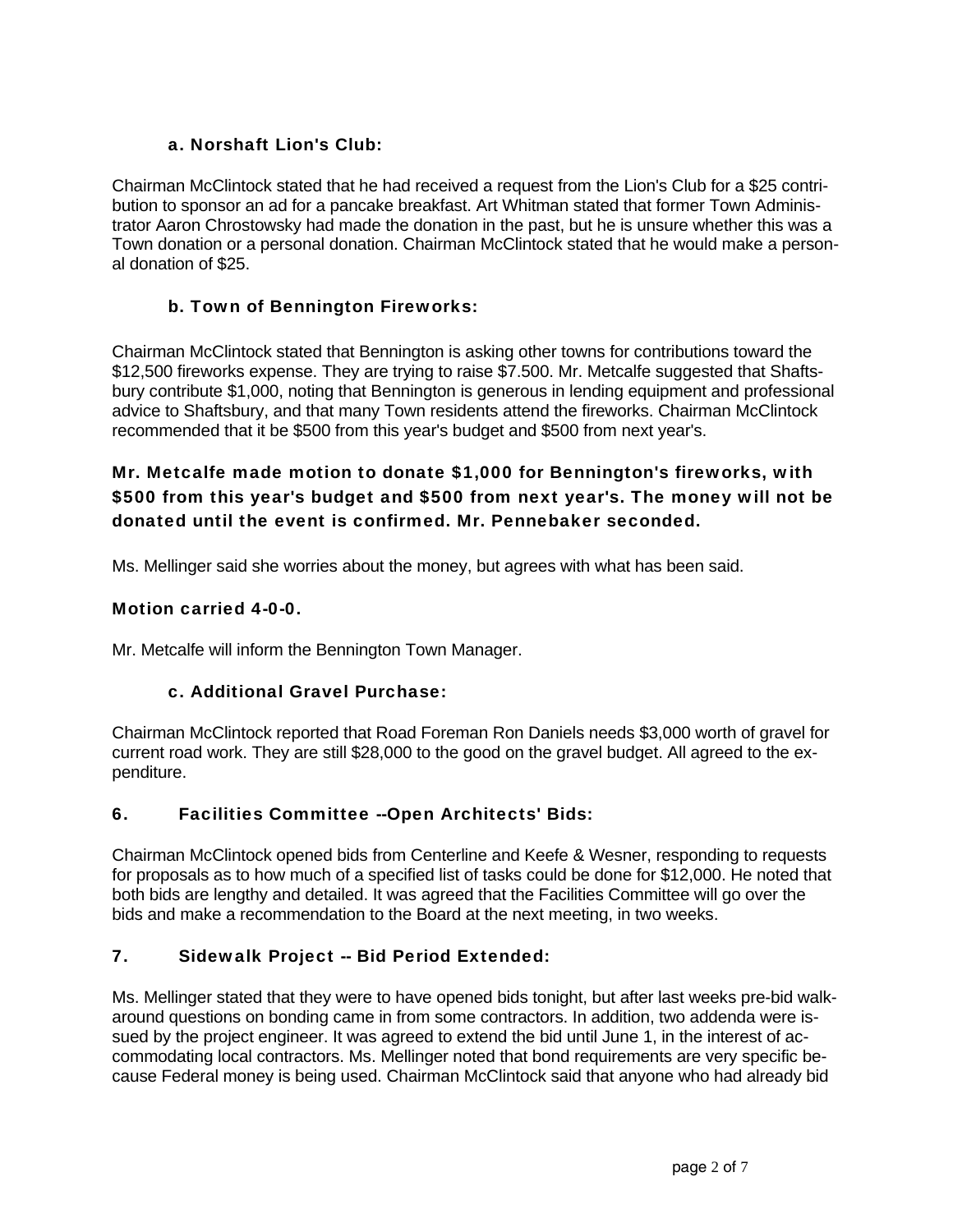## a. Norshaft Lion's Club:

Chairman McClintock stated that he had received a request from the Lion's Club for a \$25 contribution to sponsor an ad for a pancake breakfast. Art Whitman stated that former Town Administrator Aaron Chrostowsky had made the donation in the past, but he is unsure whether this was a Town donation or a personal donation. Chairman McClintock stated that he would make a personal donation of \$25.

## b. Town of Bennington Fireworks:

Chairman McClintock stated that Bennington is asking other towns for contributions toward the \$12,500 fireworks expense. They are trying to raise \$7.500. Mr. Metcalfe suggested that Shaftsbury contribute \$1,000, noting that Bennington is generous in lending equipment and professional advice to Shaftsbury, and that many Town residents attend the fireworks. Chairman McClintock recommended that it be \$500 from this year's budget and \$500 from next year's.

# Mr. Metcalfe made motion to donate \$1,000 for Bennington's fireworks, with \$500 from this year's budget and \$500 from next year's. The money will not be donated until the event is confirmed. Mr. Pennebaker seconded.

Ms. Mellinger said she worries about the money, but agrees with what has been said.

### Motion carried 4-0-0.

Mr. Metcalfe will inform the Bennington Town Manager.

## c. Additional Gravel Purchase:

Chairman McClintock reported that Road Foreman Ron Daniels needs \$3,000 worth of gravel for current road work. They are still \$28,000 to the good on the gravel budget. All agreed to the expenditure.

## 6. Facilities Committee --Open Architects' Bids:

Chairman McClintock opened bids from Centerline and Keefe & Wesner, responding to requests for proposals as to how much of a specified list of tasks could be done for \$12,000. He noted that both bids are lengthy and detailed. It was agreed that the Facilities Committee will go over the bids and make a recommendation to the Board at the next meeting, in two weeks.

## 7. Sidewalk Project -- Bid Period Extended:

Ms. Mellinger stated that they were to have opened bids tonight, but after last weeks pre-bid walkaround questions on bonding came in from some contractors. In addition, two addenda were issued by the project engineer. It was agreed to extend the bid until June 1, in the interest of accommodating local contractors. Ms. Mellinger noted that bond requirements are very specific because Federal money is being used. Chairman McClintock said that anyone who had already bid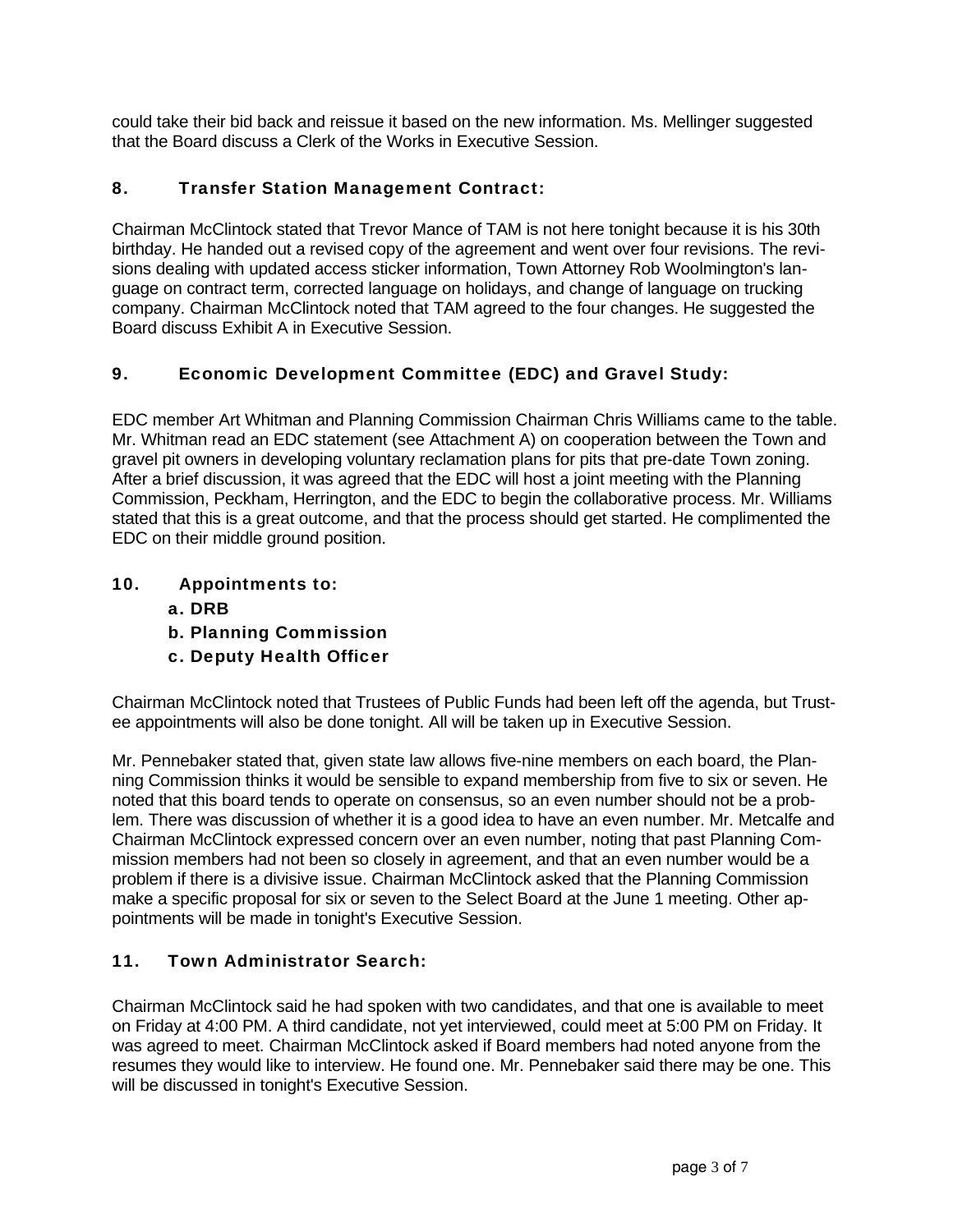could take their bid back and reissue it based on the new information. Ms. Mellinger suggested that the Board discuss a Clerk of the Works in Executive Session.

# 8. Transfer Station Management Contract:

Chairman McClintock stated that Trevor Mance of TAM is not here tonight because it is his 30th birthday. He handed out a revised copy of the agreement and went over four revisions. The revisions dealing with updated access sticker information, Town Attorney Rob Woolmington's language on contract term, corrected language on holidays, and change of language on trucking company. Chairman McClintock noted that TAM agreed to the four changes. He suggested the Board discuss Exhibit A in Executive Session.

# 9. Economic Development Committee (EDC) and Gravel Study:

EDC member Art Whitman and Planning Commission Chairman Chris Williams came to the table. Mr. Whitman read an EDC statement (see Attachment A) on cooperation between the Town and gravel pit owners in developing voluntary reclamation plans for pits that pre-date Town zoning. After a brief discussion, it was agreed that the EDC will host a joint meeting with the Planning Commission, Peckham, Herrington, and the EDC to begin the collaborative process. Mr. Williams stated that this is a great outcome, and that the process should get started. He complimented the EDC on their middle ground position.

# 10. Appointments to:

- a. DRB
- b. Planning Commission
- c. Deputy Health Officer

Chairman McClintock noted that Trustees of Public Funds had been left off the agenda, but Trustee appointments will also be done tonight. All will be taken up in Executive Session.

Mr. Pennebaker stated that, given state law allows five-nine members on each board, the Planning Commission thinks it would be sensible to expand membership from five to six or seven. He noted that this board tends to operate on consensus, so an even number should not be a problem. There was discussion of whether it is a good idea to have an even number. Mr. Metcalfe and Chairman McClintock expressed concern over an even number, noting that past Planning Commission members had not been so closely in agreement, and that an even number would be a problem if there is a divisive issue. Chairman McClintock asked that the Planning Commission make a specific proposal for six or seven to the Select Board at the June 1 meeting. Other appointments will be made in tonight's Executive Session.

# 11. Town Administrator Search:

Chairman McClintock said he had spoken with two candidates, and that one is available to meet on Friday at 4:00 PM. A third candidate, not yet interviewed, could meet at 5:00 PM on Friday. It was agreed to meet. Chairman McClintock asked if Board members had noted anyone from the resumes they would like to interview. He found one. Mr. Pennebaker said there may be one. This will be discussed in tonight's Executive Session.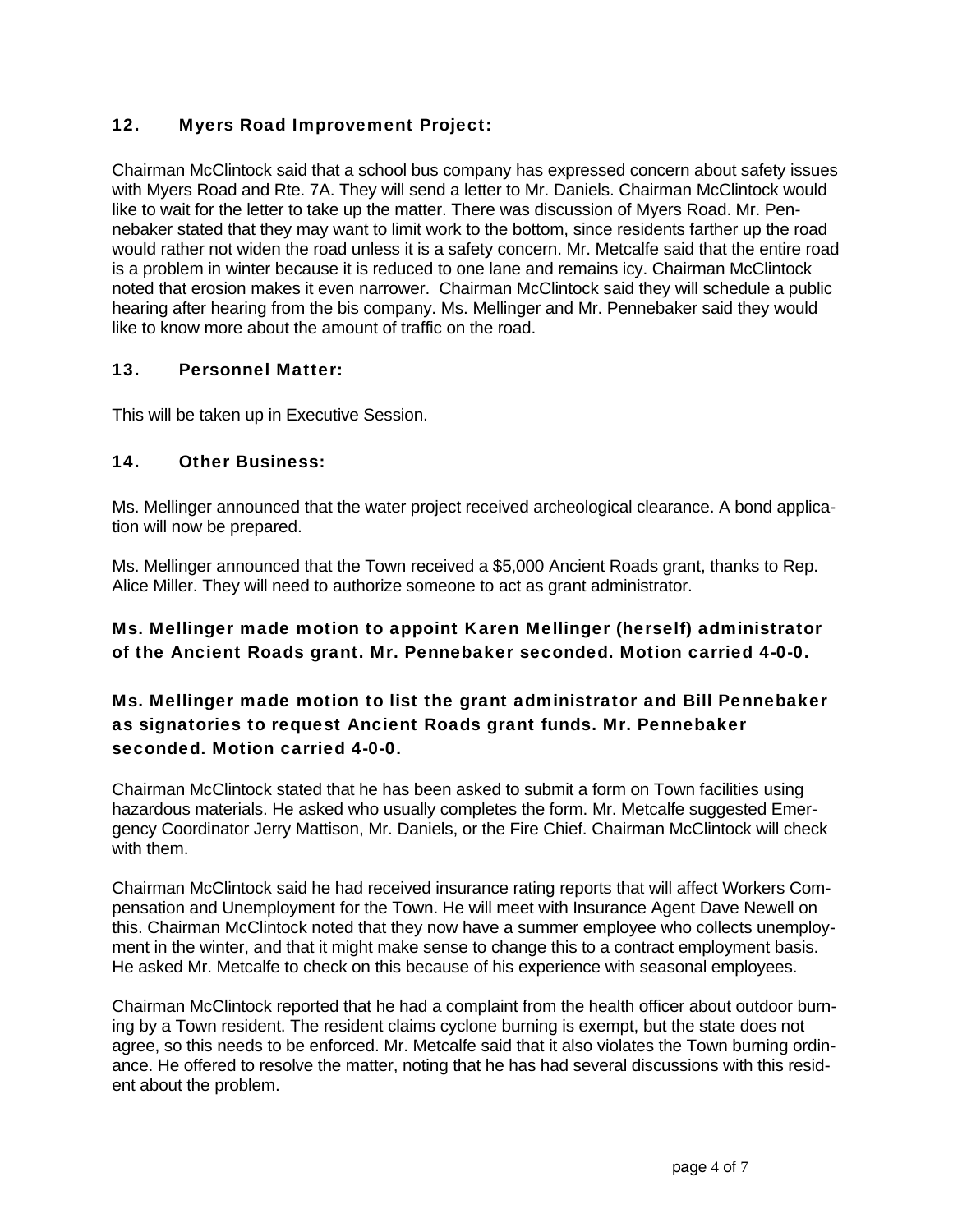## 12. Myers Road Improvement Project:

Chairman McClintock said that a school bus company has expressed concern about safety issues with Myers Road and Rte. 7A. They will send a letter to Mr. Daniels. Chairman McClintock would like to wait for the letter to take up the matter. There was discussion of Myers Road. Mr. Pennebaker stated that they may want to limit work to the bottom, since residents farther up the road would rather not widen the road unless it is a safety concern. Mr. Metcalfe said that the entire road is a problem in winter because it is reduced to one lane and remains icy. Chairman McClintock noted that erosion makes it even narrower. Chairman McClintock said they will schedule a public hearing after hearing from the bis company. Ms. Mellinger and Mr. Pennebaker said they would like to know more about the amount of traffic on the road.

### 13. Personnel Matter:

This will be taken up in Executive Session.

## 14. Other Business:

Ms. Mellinger announced that the water project received archeological clearance. A bond application will now be prepared.

Ms. Mellinger announced that the Town received a \$5,000 Ancient Roads grant, thanks to Rep. Alice Miller. They will need to authorize someone to act as grant administrator.

## Ms. Mellinger made motion to appoint Karen Mellinger (herself) administrator of the Ancient Roads grant. Mr. Pennebaker seconded. Motion carried 4-0-0.

## Ms. Mellinger made motion to list the grant administrator and Bill Pennebaker as signatories to request Ancient Roads grant funds. Mr. Pennebaker seconded. Motion carried 4-0-0.

Chairman McClintock stated that he has been asked to submit a form on Town facilities using hazardous materials. He asked who usually completes the form. Mr. Metcalfe suggested Emergency Coordinator Jerry Mattison, Mr. Daniels, or the Fire Chief. Chairman McClintock will check with them.

Chairman McClintock said he had received insurance rating reports that will affect Workers Compensation and Unemployment for the Town. He will meet with Insurance Agent Dave Newell on this. Chairman McClintock noted that they now have a summer employee who collects unemployment in the winter, and that it might make sense to change this to a contract employment basis. He asked Mr. Metcalfe to check on this because of his experience with seasonal employees.

Chairman McClintock reported that he had a complaint from the health officer about outdoor burning by a Town resident. The resident claims cyclone burning is exempt, but the state does not agree, so this needs to be enforced. Mr. Metcalfe said that it also violates the Town burning ordinance. He offered to resolve the matter, noting that he has had several discussions with this resident about the problem.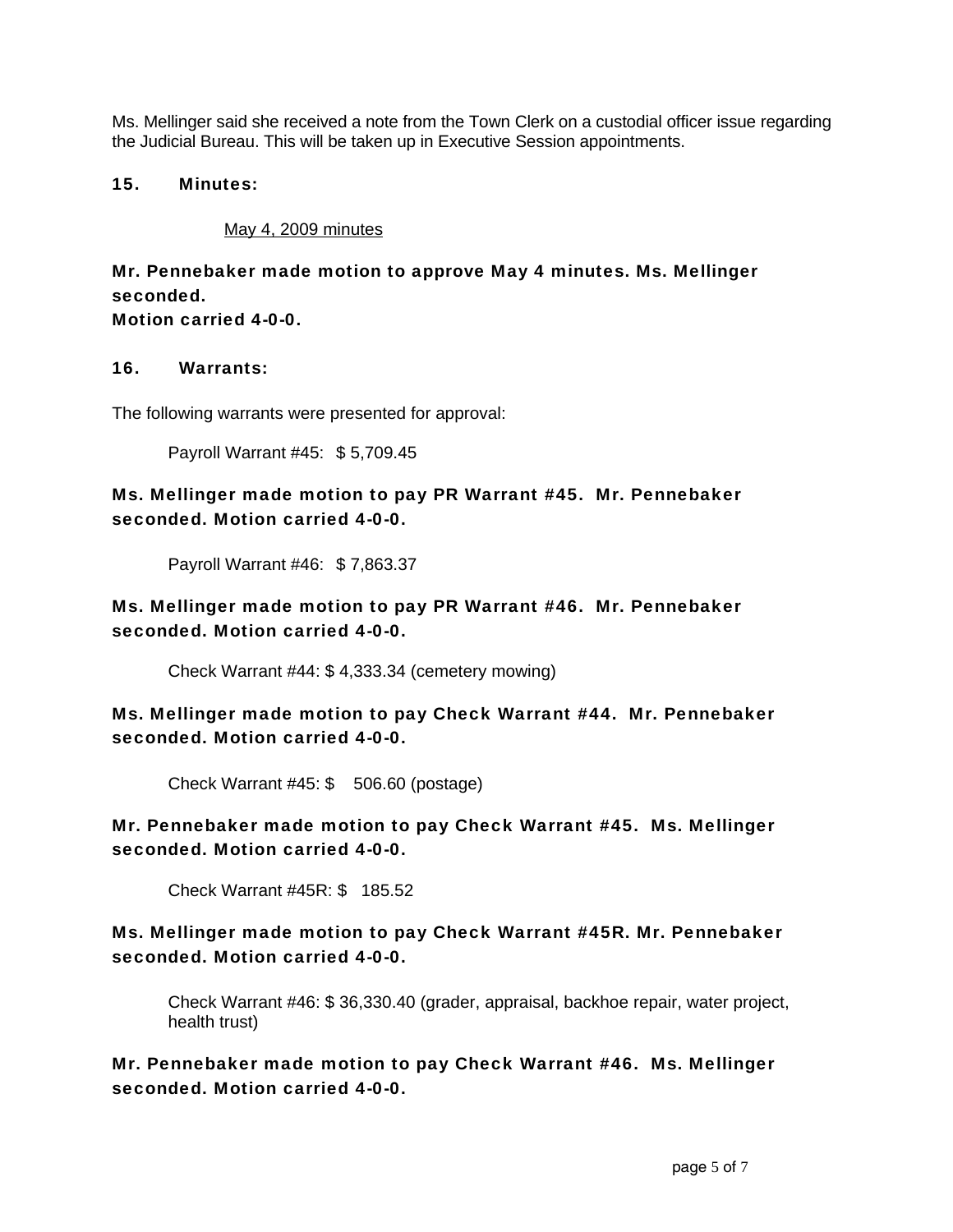Ms. Mellinger said she received a note from the Town Clerk on a custodial officer issue regarding the Judicial Bureau. This will be taken up in Executive Session appointments.

#### 15. Minutes:

May 4, 2009 minutes

# Mr. Pennebaker made motion to approve May 4 minutes. Ms. Mellinger seconded.

Motion carried 4-0-0.

#### 16. Warrants:

The following warrants were presented for approval:

Payroll Warrant #45: \$ 5,709.45

## Ms. Mellinger made motion to pay PR Warrant #45. Mr. Pennebaker seconded. Motion carried 4-0-0.

Payroll Warrant #46: \$ 7,863.37

Ms. Mellinger made motion to pay PR Warrant #46. Mr. Pennebaker seconded. Motion carried 4-0-0.

Check Warrant #44: \$ 4,333.34 (cemetery mowing)

Ms. Mellinger made motion to pay Check Warrant #44. Mr. Pennebaker seconded. Motion carried 4-0-0.

Check Warrant #45: \$ 506.60 (postage)

Mr. Pennebaker made motion to pay Check Warrant #45. Ms. Mellinger seconded. Motion carried 4-0-0.

Check Warrant #45R: \$ 185.52

## Ms. Mellinger made motion to pay Check Warrant #45R. Mr. Pennebaker seconded. Motion carried 4-0-0.

Check Warrant #46: \$ 36,330.40 (grader, appraisal, backhoe repair, water project, health trust)

Mr. Pennebaker made motion to pay Check Warrant #46. Ms. Mellinger seconded. Motion carried 4-0-0.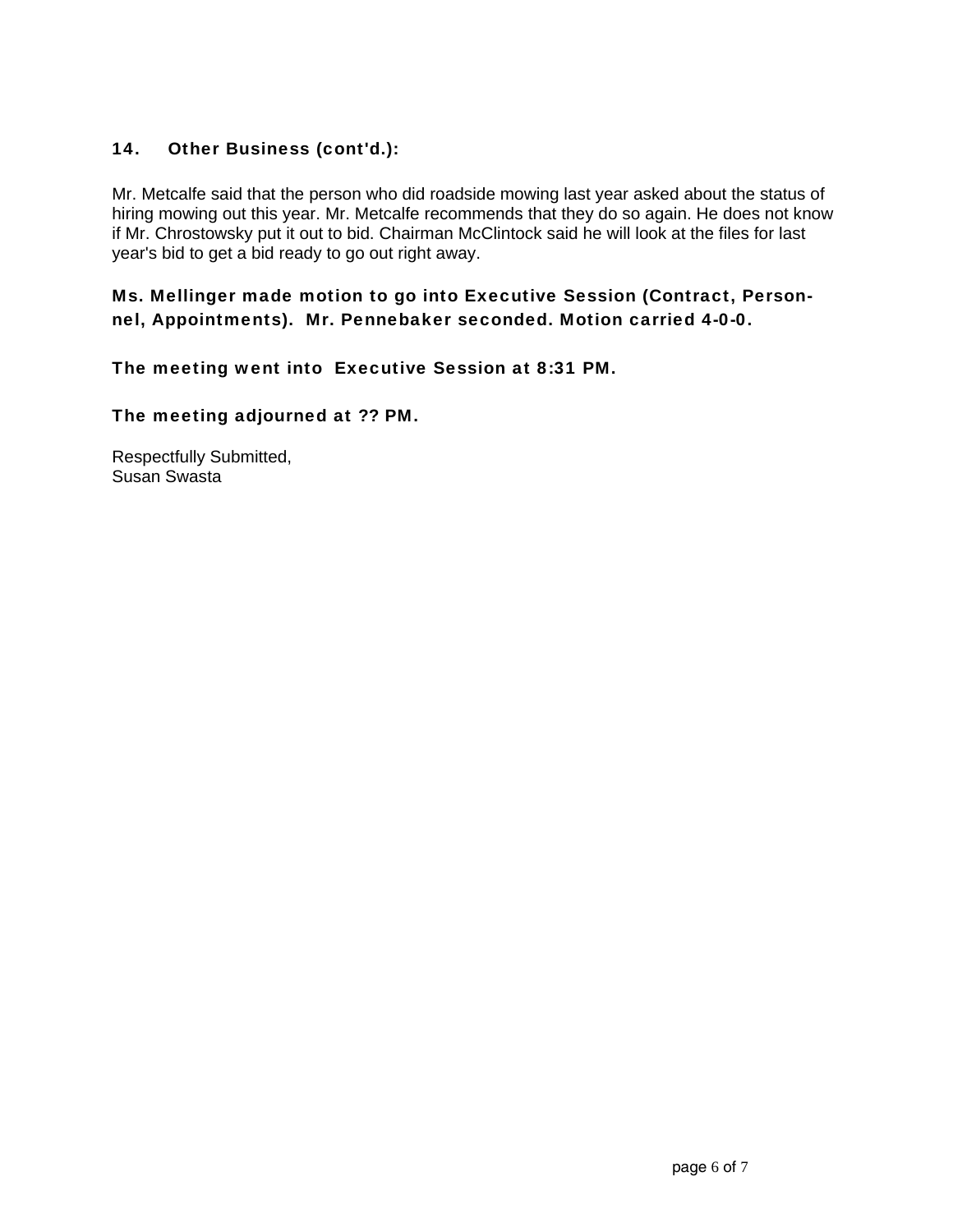## 14. Other Business (cont'd.):

Mr. Metcalfe said that the person who did roadside mowing last year asked about the status of hiring mowing out this year. Mr. Metcalfe recommends that they do so again. He does not know if Mr. Chrostowsky put it out to bid. Chairman McClintock said he will look at the files for last year's bid to get a bid ready to go out right away.

## Ms. Mellinger made motion to go into Executive Session (Contract, Personnel, Appointments). Mr. Pennebaker seconded. Motion carried 4-0-0.

The meeting went into Executive Session at 8:31 PM.

The meeting adjourned at ?? PM.

Respectfully Submitted, Susan Swasta